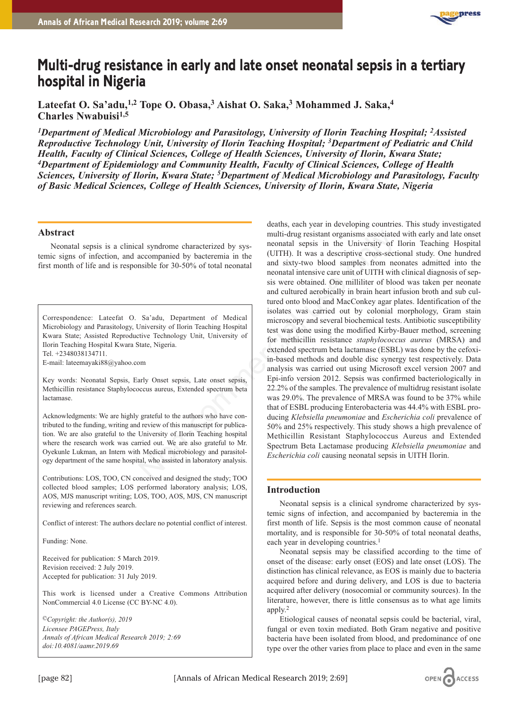

# **Multi-drug resistance in early and late onset neonatal sepsis in a tertiary hospital in Nigeria**

**Lateefat O. Sa'adu,1,2 Tope O. Obasa,3 Aishat O. Saka,3 Mohammed J. Saka,4 Charles Nwabuisi1,5**

*1Department of Medical Microbiology and Parasitology, University of Ilorin Teaching Hospital; 2Assisted Reproductive Technology Unit, University of Ilorin Teaching Hospital; 3Department of Pediatric and Child Health, Faculty of Clinical Sciences, College of Health Sciences, University of Ilorin, Kwara State; 4Department of Epidemiology and Community Health, Faculty of Clinical Sciences, College of Health Sciences, University of Ilorin, Kwara State; 5Department of Medical Microbiology and Parasitology, Faculty of Basic Medical Sciences, College of Health Sciences, University of Ilorin, Kwara State, Nigeria*

## **Abstract**

Neonatal sepsis is a clinical syndrome characterized by systemic signs of infection, and accompanied by bacteremia in the first month of life and is responsible for 30-50% of total neonatal

Correspondence: Lateefat O. Sa'adu, Department of Medical Microbiology and Parasitology, University of Ilorin Teaching Hospital Kwara State; Assisted Reproductive Technology Unit, University of Ilorin Teaching Hospital Kwara State, Nigeria.

Tel. +2348038134711.

E-mail: lateemayaki88@yahoo.com

Key words: Neonatal Sepsis, Early Onset sepsis, Late onset sepsis, Methicillin resistance Staphylococcus aureus, Extended spectrum beta lactamase.

Acknowledgments: We are highly grateful to the authors who have contributed to the funding, writing and review of this manuscript for publication. We are also grateful to the University of Ilorin Teaching hospital where the research work was carried out. We are also grateful to Mr. Oyekunle Lukman, an Intern with Medical microbiology and parasitology department of the same hospital, who assisted in laboratory analysis.

Contributions: LOS, TOO, CN conceived and designed the study; TOO collected blood samples; LOS performed laboratory analysis; LOS, AOS, MJS manuscript writing; LOS, TOO, AOS, MJS, CN manuscript reviewing and references search.

Conflict of interest: The authors declare no potential conflict of interest.

Funding: None.

Received for publication: 5 March 2019. Revision received: 2 July 2019. Accepted for publication: 31 July 2019.

This work is licensed under a Creative Commons Attribution NonCommercial 4.0 License (CC BY-NC 4.0).

*©Copyright: the Author(s), 2019 Licensee PAGEPress, Italy Annals of African Medical Research 2019; 2:69 doi:10.4081/aamr.2019*.*69*

deaths, each year in developing countries. This study investigated multi-drug resistant organisms associated with early and late onset neonatal sepsis in the University of Ilorin Teaching Hospital (UITH). It was a descriptive cross-sectional study. One hundred and sixty-two blood samples from neonates admitted into the neonatal intensive care unit of UITH with clinical diagnosis of sepsis were obtained. One milliliter of blood was taken per neonate and cultured aerobically in brain heart infusion broth and sub cultured onto blood and MacConkey agar plates. Identification of the isolates was carried out by colonial morphology, Gram stain microscopy and several biochemical tests. Antibiotic susceptibility test was done using the modified Kirby-Bauer method, screening for methicillin resistance *staphylococcus aureus* (MRSA) and extended spectrum beta lactamase (ESBL) was done by the cefoxiin-based methods and double disc synergy test respectively. Data analysis was carried out using Microsoft excel version 2007 and Epi-info version 2012. Sepsis was confirmed bacteriologically in 22.2% of the samples. The prevalence of multidrug resistant isolate was 29.0%. The prevalence of MRSA was found to be 37% while that of ESBL producing Enterobacteria was 44.4% with ESBL producing *Klebsiella pneumoniae* and *Escherichia coli* prevalence of 50% and 25% respectively. This study shows a high prevalence of Methicillin Resistant Staphylococcus Aureus and Extended Spectrum Beta Lactamase producing *Klebsiella pneumoniae* and *Escherichia coli* causing neonatal sepsis in UITH Ilorin. multi-drug resistant organisms associate<br>accompanied by sys-<br>necontal sepsis in the University of<br>accompanied by bacteremia in the UNITH). It was a descriptive cross-section<br>and sixty-two blood samples from ne<br>necontal mic

## **Introduction**

Neonatal sepsis is a clinical syndrome characterized by systemic signs of infection, and accompanied by bacteremia in the first month of life. Sepsis is the most common cause of neonatal mortality, and is responsible for 30-50% of total neonatal deaths, each year in developing countries.<sup>1</sup>

Neonatal sepsis may be classified according to the time of onset of the disease: early onset (EOS) and late onset (LOS). The distinction has clinical relevance, as EOS is mainly due to bacteria acquired before and during delivery, and LOS is due to bacteria acquired after delivery (nosocomial or community sources). In the literature, however, there is little consensus as to what age limits apply.2

Etiological causes of neonatal sepsis could be bacterial, viral, fungal or even toxin mediated. Both Gram negative and positive bacteria have been isolated from blood, and predominance of one type over the other varies from place to place and even in the same

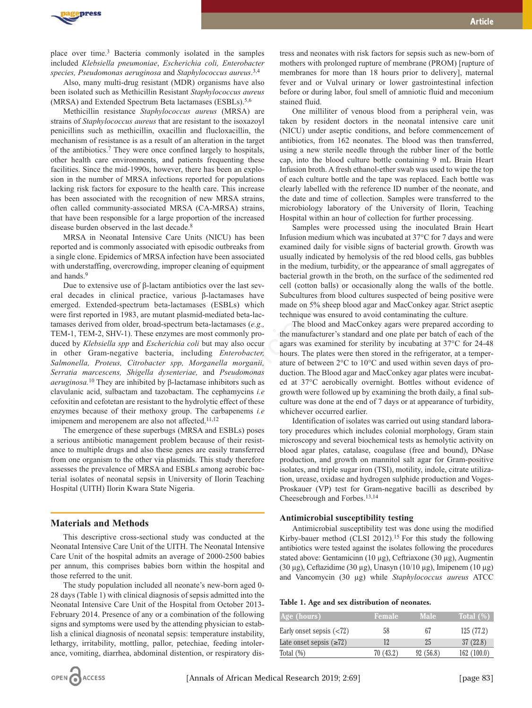

place over time.3 Bacteria commonly isolated in the samples included *Klebsiella pneumoniae*, *Escherichia coli, Enterobacter species, Pseudomonas aeruginosa* and *Staphylococcus aureus*. 3,4

Also, many multi-drug resistant (MDR) organisms have also been isolated such as Methicillin Resistant *Staphylococcus aureus* (MRSA) and Extended Spectrum Beta lactamases (ESBLs).5,6

Methicillin resistance *Staphylococcus aureus* (MRSA) are strains of *Staphylococcus aureus* that are resistant to the isoxazoyl penicillins such as methicillin, oxacillin and flucloxacillin, the mechanism of resistance is as a result of an alteration in the target of the antibiotics.7 They were once confined largely to hospitals, other health care environments, and patients frequenting these facilities. Since the mid-1990s, however, there has been an explosion in the number of MRSA infections reported for populations lacking risk factors for exposure to the health care. This increase has been associated with the recognition of new MRSA strains, often called community-associated MRSA (CA-MRSA) strains, that have been responsible for a large proportion of the increased disease burden observed in the last decade.<sup>8</sup>

MRSA in Neonatal Intensive Care Units (NICU) has been reported and is commonly associated with episodic outbreaks from a single clone. Epidemics of MRSA infection have been associated with understaffing, overcrowding, improper cleaning of equipment and hands.9

Due to extensive use of β-lactam antibiotics over the last several decades in clinical practice, various β-lactamases have emerged. Extended-spectrum beta-lactamases (ESBLs) which were first reported in 1983, are mutant plasmid-mediated beta-lactamases derived from older, broad-spectrum beta-lactamases (*e.g.,* TEM-1, TEM-2, SHV-1). These enzymes are most commonly produced by *Klebsiella spp* and *Escherichia coli* but may also occur in other Gram-negative bacteria, including *Enterobacter, Salmonella, Proteus, Citrobacter spp, Morganella morganii, Serratia marcescens, Shigella dysenteriae,* and *Pseudomonas aeruginosa.*<sup>10</sup> They are inhibited by β-lactamase inhibitors such as clavulanic acid, sulbactam and tazobactam. The cephamycins *i.e* cefoxitin and cefotetan are resistant to the hydrolytic effect of these enzymes because of their methoxy group. The carbapenems *i.e* imipenem and meropenem are also not affected.<sup>11,12</sup> tensive Care Units (NICU) has been<br>
Infusion medium which was incubate<br>
stensive Care Units (NICU) has been<br>
Infusion medium which was incubate<br>
stociated with episodic outbreaks from<br>
examined daily for visible signs of<br>

The emergence of these superbugs (MRSA and ESBLs) poses a serious antibiotic management problem because of their resistance to multiple drugs and also these genes are easily transferred from one organism to the other via plasmids. This study therefore assesses the prevalence of MRSA and ESBLs among aerobic bacterial isolates of neonatal sepsis in University of Ilorin Teaching Hospital (UITH) Ilorin Kwara State Nigeria.

### **Materials and Methods**

This descriptive cross-sectional study was conducted at the Neonatal Intensive Care Unit of the UITH. The Neonatal Intensive Care Unit of the hospital admits an average of 2000-2500 babies per annum, this comprises babies born within the hospital and those referred to the unit.

The study population included all neonate's new-born aged 0- 28 days (Table 1) with clinical diagnosis of sepsis admitted into the Neonatal Intensive Care Unit of the Hospital from October 2013- February 2014. Presence of any or a combination of the following signs and symptoms were used by the attending physician to establish a clinical diagnosis of neonatal sepsis: temperature instability, lethargy, irritability, mottling, pallor, petechiae, feeding intolerance, vomiting, diarrhea, abdominal distention, or respiratory dis-



tress and neonates with risk factors for sepsis such as new-born of mothers with prolonged rupture of membrane (PROM) [rupture of membranes for more than 18 hours prior to delivery], maternal fever and or Vulval urinary or lower gastrointestinal infection before or during labor, foul smell of amniotic fluid and meconium stained fluid.

One milliliter of venous blood from a peripheral vein, was taken by resident doctors in the neonatal intensive care unit (NICU) under aseptic conditions, and before commencement of antibiotics, from 162 neonates. The blood was then transferred, using a new sterile needle through the rubber liner of the bottle cap, into the blood culture bottle containing 9 mL Brain Heart Infusion broth. A fresh ethanol-ether swab was used to wipe the top of each culture bottle and the tape was replaced. Each bottle was clearly labelled with the reference ID number of the neonate, and the date and time of collection. Samples were transferred to the microbiology laboratory of the University of Ilorin, Teaching Hospital within an hour of collection for further processing.

Samples were processed using the inoculated Brain Heart Infusion medium which was incubated at 37°C for 7 days and were examined daily for visible signs of bacterial growth. Growth was usually indicated by hemolysis of the red blood cells, gas bubbles in the medium, turbidity, or the appearance of small aggregates of bacterial growth in the broth, on the surface of the sedimented red cell (cotton balls) or occasionally along the walls of the bottle. Subcultures from blood cultures suspected of being positive were made on 5% sheep blood agar and MacConkey agar. Strict aseptic technique was ensured to avoid contaminating the culture.

The blood and MacConkey agars were prepared according to the manufacturer's standard and one plate per batch of each of the agars was examined for sterility by incubating at 37°C for 24-48 hours. The plates were then stored in the refrigerator, at a temperature of between 2°C to 10°C and used within seven days of production. The Blood agar and MacConkey agar plates were incubated at 37°C aerobically overnight. Bottles without evidence of growth were followed up by examining the broth daily, a final subculture was done at the end of 7 days or at appearance of turbidity, whichever occurred earlier.

Identification of isolates was carried out using standard laboratory procedures which includes colonial morphology, Gram stain microscopy and several biochemical tests as hemolytic activity on blood agar plates, catalase, coagulase (free and bound), DNase production, and growth on mannitol salt agar for Gram-positive isolates, and triple sugar iron (TSI), motility, indole, citrate utilization, urease, oxidase and hydrogen sulphide production and Voges-Proskauer (VP) test for Gram-negative bacilli as described by Cheesebrough and Forbes.13,14

#### **Antimicrobial susceptibility testing**

Antimicrobial susceptibility test was done using the modified Kirby-bauer method (CLSI 2012).<sup>15</sup> For this study the following antibiotics were tested against the isolates following the procedures stated above: Gentamicinn (10 µg), Ceftriaxone (30 µg), Augmentin (30 µg), Ceftazidime (30 µg), Unasyn (10/10 µg), Imipenem (10 µg) and Vancomycin (30 µg) while *Staphylococcus aureus* ATCC

**Table 1. Age and sex distribution of neonates.**

| Age (hours)                   | Female    | <b>Male</b> | Total $(\%)$ |
|-------------------------------|-----------|-------------|--------------|
| Early onset sepsis $(72)$     | 58        | 67          | 125(77.2)    |
| Late onset sepsis $(\geq 72)$ | 12        | 25          | 37(22.8)     |
| Total $(\%)$                  | 70 (43.2) | 92(56.8)    | 162(100.0)   |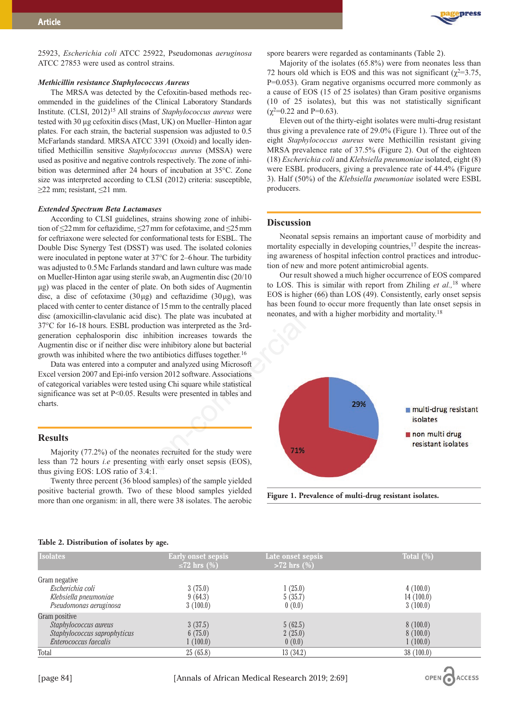

25923, *Escherichia coli* ATCC 25922, Pseudomonas *aeruginosa* ATCC 27853 were used as control strains.

#### *Methicillin resistance Staphylococcus Aureus*

The MRSA was detected by the Cefoxitin-based methods recommended in the guidelines of the Clinical Laboratory Standards Institute. (CLSI, 2012)15 All strains of *Staphylococcus aureus* were tested with 30 µg cefoxitin discs (Mast, UK) on Mueller–Hinton agar plates. For each strain, the bacterial suspension was adjusted to 0.5 McFarlands standard. MRSA ATCC 3391 (Oxoid) and locally identified Methicillin sensitive *Staphylococcus aureus* (MSSA) were used as positive and negative controls respectively. The zone of inhibition was determined after 24 hours of incubation at 35°C. Zone size was interpreted according to CLSI (2012) criteria: susceptible, ≥22 mm; resistant, ≤21 mm.

#### *Extended Spectrum Beta Lactamases*

According to CLSI guidelines, strains showing zone of inhibition of ≤22 mm for ceftazidime, ≤27 mm for cefotaxime, and ≤25 mm for ceftriaxone were selected for conformational tests for ESBL. The Double Disc Synergy Test (DSST) was used. The isolated colonies were inoculated in peptone water at 37°C for 2–6 hour. The turbidity was adjusted to 0.5 Mc Farlands standard and lawn culture was made on Mueller-Hinton agar using sterile swab, an Augmentin disc (20/10 μg) was placed in the center of plate. On both sides of Augmentin disc, a disc of cefotaxime  $(30\,\mu$ g) and ceftazidime  $(30\,\mu$ g), was placed with center to center distance of 15 mm to the centrally placed disc (amoxicillin-clavulanic acid disc). The plate was incubated at 37°C for 16-18 hours. ESBL production was interpreted as the 3rdgeneration cephalosporin disc inhibition increases towards the Augmentin disc or if neither disc were inhibitory alone but bacterial growth was inhibited where the two antibiotics diffuses together.16

Data was entered into a computer and analyzed using Microsoft Excel version 2007 and Epi-info version 2012 software. Associations of categorical variables were tested using Chi square while statistical significance was set at P<0.05. Results were presented in tables and charts.

#### **Results**

Majority (77.2%) of the neonates recruited for the study were less than 72 hours *i.e* presenting with early onset sepsis (EOS), thus giving EOS: LOS ratio of 3.4:1.

Twenty three percent (36 blood samples) of the sample yielded positive bacterial growth. Two of these blood samples yielded more than one organism: in all, there were 38 isolates. The aerobic

spore bearers were regarded as contaminants (Table 2).

Majority of the isolates (65.8%) were from neonates less than 72 hours old which is EOS and this was not significant ( $\gamma^2$ =3.75, P=0.053). Gram negative organisms occurred more commonly as a cause of EOS (15 of 25 isolates) than Gram positive organisms (10 of 25 isolates), but this was not statistically significant  $(\chi^2=0.22 \text{ and } P=0.63)$ .

Eleven out of the thirty-eight isolates were multi-drug resistant thus giving a prevalence rate of 29.0% (Figure 1). Three out of the eight *Staphylococcus aureus* were Methicillin resistant giving MRSA prevalence rate of 37.5% (Figure 2). Out of the eighteen (18) *Escherichia coli* and *Klebsiella pneumoniae* isolated, eight (8) were ESBL producers, giving a prevalence rate of 44.4% (Figure 3). Half (50%) of the *Klebsiella pneumoniae* isolated were ESBL producers.

### **Discussion**

Neonatal sepsis remains an important cause of morbidity and mortality especially in developing countries,<sup>17</sup> despite the increasing awareness of hospital infection control practices and introduction of new and more potent antimicrobial agents.

Our result showed a much higher occurrence of EOS compared to LOS. This is similar with report from Zhiling *et al.,*<sup>18</sup> where EOS is higher (66) than LOS (49). Consistently, early onset sepsis has been found to occur more frequently than late onset sepsis in neonates, and with a higher morbidity and mortality.18



**Figure 1. Prevalence of multi-drug resistant isolates.**

### **Table 2. Distribution of isolates by age.**

| <b>Isolates</b>                                                                                 | <b>Early onset sepsis</b><br>$\leq$ 72 hrs (%) | Late onset sepsis<br>$>72$ hrs $(\%)$ | Total $(\%)$                      |
|-------------------------------------------------------------------------------------------------|------------------------------------------------|---------------------------------------|-----------------------------------|
| Gram negative<br>Escherichia coli<br>Klebsiella pneumoniae<br>Pseudomonas aeruginosa            | 3(75.0)<br>9(64.3)<br>3(100.0)                 | 1(25.0)<br>5(35.7)<br>0(0.0)          | 4(100.0)<br>14(100.0)<br>3(100.0) |
| Gram positive<br>Staphylococcus aureus<br>Staphylococcus saprophyticus<br>Enterococcus faecalis | 3(37.5)<br>6(75.0)<br>1(100.0)                 | 5(62.5)<br>2(25.0)<br>0(0.0)          | 8(100.0)<br>8(100.0)<br>1(100.0)  |
| Total                                                                                           | 25(65.8)                                       | 13(34.2)                              | 38(100.0)                         |

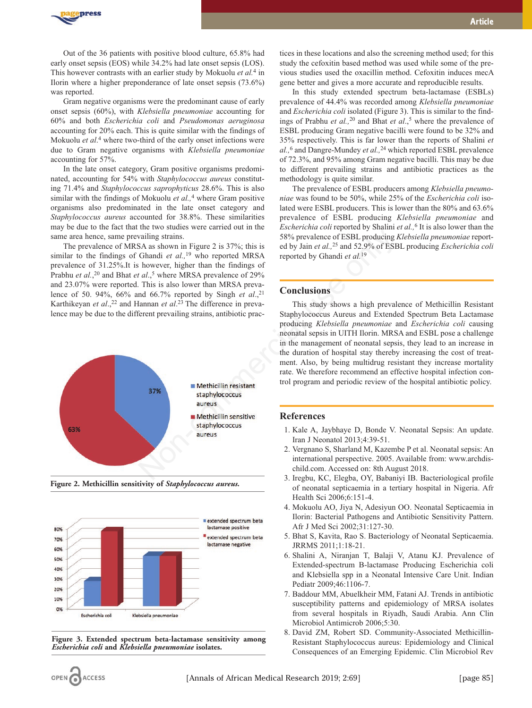

Out of the 36 patients with positive blood culture, 65.8% had early onset sepsis (EOS) while 34.2% had late onset sepsis (LOS). This however contrasts with an earlier study by Mokuolu *et al.*<sup>4</sup> in Ilorin where a higher preponderance of late onset sepsis (73.6%) was reported.

Gram negative organisms were the predominant cause of early onset sepsis (60%), with *Klebsiella pneumoniae* accounting for 60% and both *Escherichia coli* and *Pseudomonas aeruginosa* accounting for 20% each. This is quite similar with the findings of Mokuolu *et al*. <sup>4</sup> where two-third of the early onset infections were due to Gram negative organisms with *Klebsiella pneumoniae* accounting for 57%.

In the late onset category, Gram positive organisms predominated, accounting for 54% with *Staphylococcus aureus* constituting 71.4% and *Staphylococcus saprophyticus* 28.6%. This is also similar with the findings of Mokuolu *et al.,*<sup>4</sup> where Gram positive organisms also predominated in the late onset category and *Staphylococcus aureus* accounted for 38.8%. These similarities may be due to the fact that the two studies were carried out in the same area hence, same prevailing strains.

The prevalence of MRSA as shown in Figure 2 is 37%; this is similar to the findings of Ghandi *et al.,*<sup>19</sup> who reported MRSA prevalence of 31.25%.It is however, higher than the findings of Prabhu *et al.*,<sup>20</sup> and Bhat *et al.*,<sup>5</sup> where MRSA prevalence of 29% and 23.07% were reported. This is also lower than MRSA prevalence of 50. 94%, 66% and 66.7% reported by Singh *et al.*,<sup>21</sup> Karthikeyan *et al.*,<sup>22</sup> and Hannan *et al.*<sup>23</sup> The difference in prevalence may be due to the different prevailing strains, antibiotic prac-



**Figure 2. Methicillin sensitivity of** *Staphylococcus aureus.*



**Figure 3. Extended spectrum beta-lactamase sensitivity among** *Escherichia coli* **and** *Klebsiella pneumoniae* **isolates.**

tices in these locations and also the screening method used; for this study the cefoxitin based method was used while some of the previous studies used the oxacillin method. Cefoxitin induces mecA gene better and gives a more accurate and reproducible results.

In this study extended spectrum beta-lactamase (ESBLs) prevalence of 44.4% was recorded among *Klebsiella pneumoniae* and *Escherichia coli* isolated (Figure 3). This is similar to the findings of Prabhu *et al.*,<sup>20</sup> and Bhat *et al.*,<sup>5</sup> where the prevalence of ESBL producing Gram negative bacilli were found to be 32% and 35% respectively. This is far lower than the reports of Shalini *et al.,*<sup>6</sup> and Dangre-Mundey *et al.,*<sup>24</sup> which reported ESBL prevalence of 72.3%, and 95% among Gram negative bacilli. This may be due to different prevailing strains and antibiotic practices as the methodology is quite similar.

The prevalence of ESBL producers among *Klebsiella pneumoniae* was found to be 50%, while 25% of the *Escherichia coli* isolated were ESBL producers. This is lower than the 80% and 63.6% prevalence of ESBL producing *Klebsiella pneumoniae* and *Escherichia coli* reported by Shalini *et al.,*<sup>6</sup> It is also lower than the 58% prevalence of ESBL producing *Klebsiella pneumoniae* reported by Jain *et al.,*<sup>25</sup> and 52.9% of ESBL producing *Escherichia coli* reported by Ghandi *et al.*<sup>19</sup>

## **Conclusions**

This study shows a high prevalence of Methicillin Resistant Staphylococcus Aureus and Extended Spectrum Beta Lactamase producing *Klebsiella pneumoniae* and *Escherichia coli* causing neonatal sepsis in UITH Ilorin. MRSA and ESBL pose a challenge in the management of neonatal sepsis, they lead to an increase in the duration of hospital stay thereby increasing the cost of treatment. Also, by being multidrug resistant they increase mortality rate. We therefore recommend an effective hospital infection control program and periodic review of the hospital antibiotic policy.

## **References**

- 1. Kale A, Jaybhaye D, Bonde V. Neonatal Sepsis: An update. Iran J Neonatol 2013;4:39-51.
- 2. Vergnano S, Sharland M, Kazembe P et al. Neonatal sepsis: An international perspective. 2005. Available from: www.archdischild.com. Accessed on: 8th August 2018.
- 3. Iregbu, KC, Elegba, OY, Babaniyi IB. Bacteriological profile of neonatal septicaemia in a tertiary hospital in Nigeria. Afr Health Sci 2006;6:151-4.
- 4. Mokuolu AO, Jiya N, Adesiyun OO. Neonatal Septicaemia in Ilorin: Bacterial Pathogens and Antibiotic Sensitivity Pattern. Afr J Med Sci 2002;31:127-30.
- 5. Bhat S, Kavita, Rao S. Bacteriology of Neonatal Septicaemia. JRRMS 2011;1:18-21.
- 6. Shalini A, Niranjan T, Balaji V, Atanu KJ. Prevalence of Extended-spectrum B-lactamase Producing Escherichia coli and Klebsiella spp in a Neonatal Intensive Care Unit. Indian Pediatr 2009;46:1106-7.
- 7. Baddour MM, Abuelkheir MM, Fatani AJ. Trends in antibiotic susceptibility patterns and epidemiology of MRSA isolates from several hospitals in Riyadh, Saudi Arabia. Ann Clin Microbiol Antimicrob 2006;5:30.
- 8. David ZM, Robert SD. Community-Associated Methicillin-Resistant Staphylococcus aureus: Epidemiology and Clinical Consequences of an Emerging Epidemic. Clin Microbiol Rev